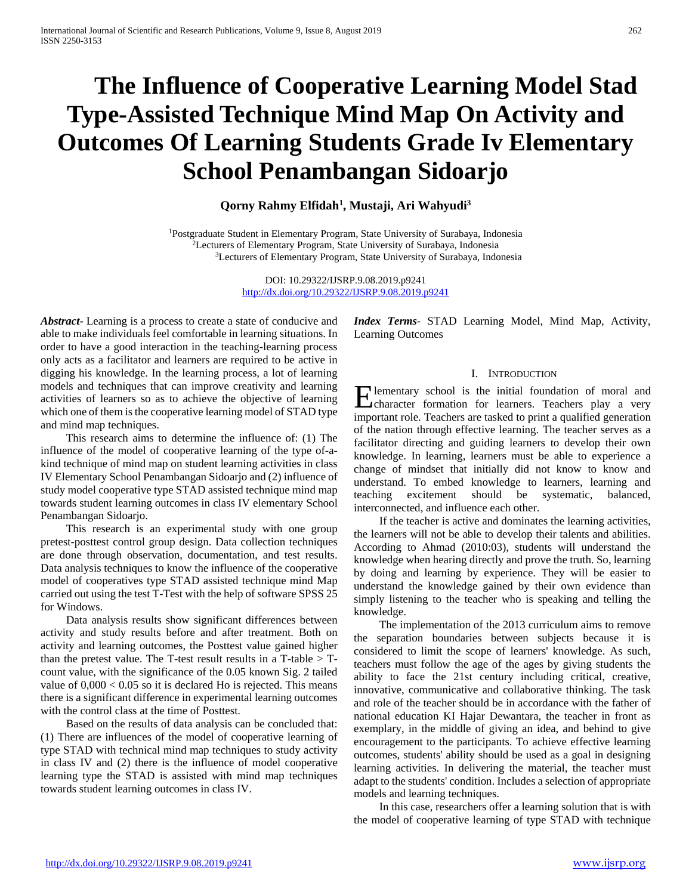# **The Influence of Cooperative Learning Model Stad Type-Assisted Technique Mind Map On Activity and Outcomes Of Learning Students Grade Iv Elementary School Penambangan Sidoarjo**

# **Qorny Rahmy Elfidah1 , Mustaji, Ari Wahyudi3**

1Postgraduate Student in Elementary Program, State University of Surabaya, Indonesia 2Lecturers of Elementary Program, State University of Surabaya, Indonesia 3Lecturers of Elementary Program, State University of Surabaya, Indonesia

> DOI: 10.29322/IJSRP.9.08.2019.p9241 <http://dx.doi.org/10.29322/IJSRP.9.08.2019.p9241>

*Abstract***-** Learning is a process to create a state of conducive and able to make individuals feel comfortable in learning situations. In order to have a good interaction in the teaching-learning process only acts as a facilitator and learners are required to be active in digging his knowledge. In the learning process, a lot of learning models and techniques that can improve creativity and learning activities of learners so as to achieve the objective of learning which one of them is the cooperative learning model of STAD type and mind map techniques.

 This research aims to determine the influence of: (1) The influence of the model of cooperative learning of the type of-akind technique of mind map on student learning activities in class IV Elementary School Penambangan Sidoarjo and (2) influence of study model cooperative type STAD assisted technique mind map towards student learning outcomes in class IV elementary School Penambangan Sidoarjo.

 This research is an experimental study with one group pretest-posttest control group design. Data collection techniques are done through observation, documentation, and test results. Data analysis techniques to know the influence of the cooperative model of cooperatives type STAD assisted technique mind Map carried out using the test T-Test with the help of software SPSS 25 for Windows.

 Data analysis results show significant differences between activity and study results before and after treatment. Both on activity and learning outcomes, the Posttest value gained higher than the pretest value. The T-test result results in a T-table  $>$  Tcount value, with the significance of the 0.05 known Sig. 2 tailed value of  $0,000 < 0.05$  so it is declared Ho is rejected. This means there is a significant difference in experimental learning outcomes with the control class at the time of Posttest.

 Based on the results of data analysis can be concluded that: (1) There are influences of the model of cooperative learning of type STAD with technical mind map techniques to study activity in class IV and (2) there is the influence of model cooperative learning type the STAD is assisted with mind map techniques towards student learning outcomes in class IV.

*Index Terms*- STAD Learning Model, Mind Map, Activity, Learning Outcomes

#### I. INTRODUCTION

Elementary school is the initial foundation of moral and character formation for learners. Teachers play a very character formation for learners. Teachers play a very important role. Teachers are tasked to print a qualified generation of the nation through effective learning. The teacher serves as a facilitator directing and guiding learners to develop their own knowledge. In learning, learners must be able to experience a change of mindset that initially did not know to know and understand. To embed knowledge to learners, learning and teaching excitement should be systematic, balanced, interconnected, and influence each other.

 If the teacher is active and dominates the learning activities, the learners will not be able to develop their talents and abilities. According to Ahmad (2010:03), students will understand the knowledge when hearing directly and prove the truth. So, learning by doing and learning by experience. They will be easier to understand the knowledge gained by their own evidence than simply listening to the teacher who is speaking and telling the knowledge.

 The implementation of the 2013 curriculum aims to remove the separation boundaries between subjects because it is considered to limit the scope of learners' knowledge. As such, teachers must follow the age of the ages by giving students the ability to face the 21st century including critical, creative, innovative, communicative and collaborative thinking. The task and role of the teacher should be in accordance with the father of national education KI Hajar Dewantara, the teacher in front as exemplary, in the middle of giving an idea, and behind to give encouragement to the participants. To achieve effective learning outcomes, students' ability should be used as a goal in designing learning activities. In delivering the material, the teacher must adapt to the students' condition. Includes a selection of appropriate models and learning techniques.

 In this case, researchers offer a learning solution that is with the model of cooperative learning of type STAD with technique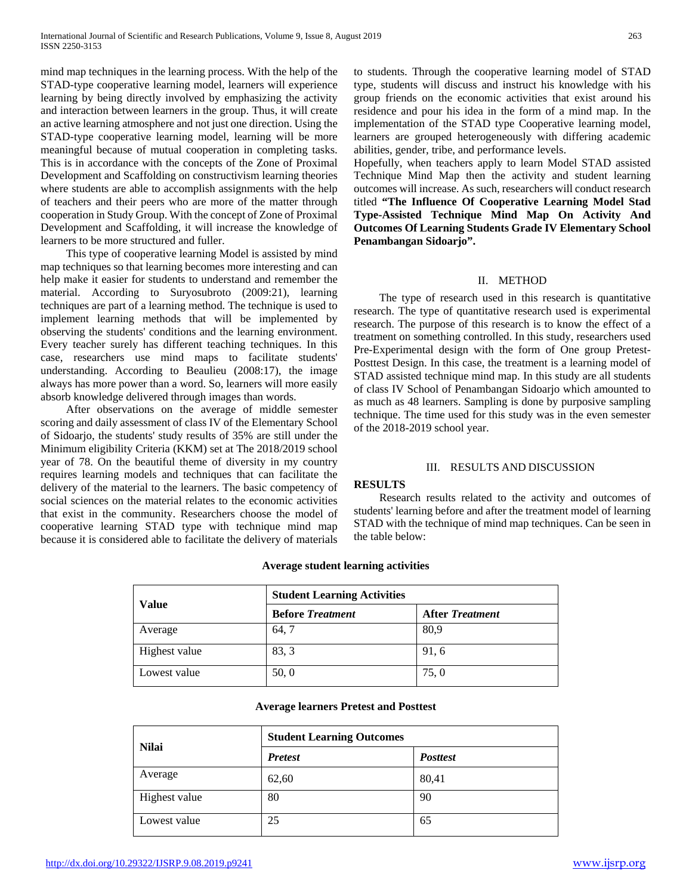mind map techniques in the learning process. With the help of the STAD-type cooperative learning model, learners will experience learning by being directly involved by emphasizing the activity and interaction between learners in the group. Thus, it will create an active learning atmosphere and not just one direction. Using the STAD-type cooperative learning model, learning will be more meaningful because of mutual cooperation in completing tasks. This is in accordance with the concepts of the Zone of Proximal Development and Scaffolding on constructivism learning theories where students are able to accomplish assignments with the help of teachers and their peers who are more of the matter through cooperation in Study Group. With the concept of Zone of Proximal Development and Scaffolding, it will increase the knowledge of learners to be more structured and fuller.

 This type of cooperative learning Model is assisted by mind map techniques so that learning becomes more interesting and can help make it easier for students to understand and remember the material. According to Suryosubroto (2009:21), learning techniques are part of a learning method. The technique is used to implement learning methods that will be implemented by observing the students' conditions and the learning environment. Every teacher surely has different teaching techniques. In this case, researchers use mind maps to facilitate students' understanding. According to Beaulieu (2008:17), the image always has more power than a word. So, learners will more easily absorb knowledge delivered through images than words.

 After observations on the average of middle semester scoring and daily assessment of class IV of the Elementary School of Sidoarjo, the students' study results of 35% are still under the Minimum eligibility Criteria (KKM) set at The 2018/2019 school year of 78. On the beautiful theme of diversity in my country requires learning models and techniques that can facilitate the delivery of the material to the learners. The basic competency of social sciences on the material relates to the economic activities that exist in the community. Researchers choose the model of cooperative learning STAD type with technique mind map because it is considered able to facilitate the delivery of materials Hopefully, when teachers apply to learn Model STAD assisted Technique Mind Map then the activity and student learning outcomes will increase. As such, researchers will conduct research titled **"The Influence Of Cooperative Learning Model Stad Type-Assisted Technique Mind Map On Activity And Outcomes Of Learning Students Grade IV Elementary School Penambangan Sidoarjo".**

## II. METHOD

 The type of research used in this research is quantitative research. The type of quantitative research used is experimental research. The purpose of this research is to know the effect of a treatment on something controlled. In this study, researchers used Pre-Experimental design with the form of One group Pretest-Posttest Design. In this case, the treatment is a learning model of STAD assisted technique mind map. In this study are all students of class IV School of Penambangan Sidoarjo which amounted to as much as 48 learners. Sampling is done by purposive sampling technique. The time used for this study was in the even semester of the 2018-2019 school year.

## III. RESULTS AND DISCUSSION

# **RESULTS**

 Research results related to the activity and outcomes of students' learning before and after the treatment model of learning STAD with the technique of mind map techniques. Can be seen in the table below:

## **Average student learning activities**

|               | <b>Student Learning Activities</b> |                        |  |
|---------------|------------------------------------|------------------------|--|
| <b>Value</b>  | <b>Before Treatment</b>            | <b>After Treatment</b> |  |
| Average       | 64, 7                              | 80,9                   |  |
| Highest value | 83, 3                              | 91,6                   |  |
| Lowest value  | 50, 0                              | 75,0                   |  |

## **Average learners Pretest and Posttest**

| <b>Nilai</b>  | <b>Student Learning Outcomes</b> |                 |  |
|---------------|----------------------------------|-----------------|--|
|               | <b>Pretest</b>                   | <b>Posttest</b> |  |
| Average       | 62,60                            | 80,41           |  |
| Highest value | 80                               | 90              |  |
| Lowest value  | 25                               | 65              |  |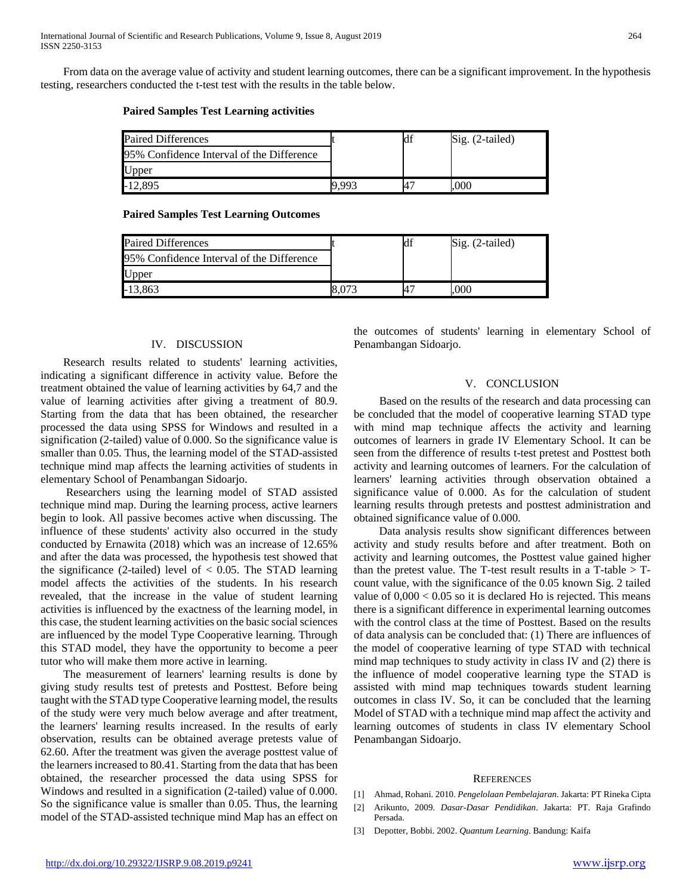From data on the average value of activity and student learning outcomes, there can be a significant improvement. In the hypothesis testing, researchers conducted the t-test test with the results in the table below.

#### **Paired Samples Test Learning activities**

| <b>Paired Differences</b>                 |  | Sig. (2-tailed) |
|-------------------------------------------|--|-----------------|
| 95% Confidence Interval of the Difference |  |                 |
| Upper                                     |  |                 |
| -12.895                                   |  | .000            |

#### **Paired Samples Test Learning Outcomes**

| <b>Paired Differences</b>                 | Id: | Sig. (2-tailed) |
|-------------------------------------------|-----|-----------------|
| 95% Confidence Interval of the Difference |     |                 |
| Upper                                     |     |                 |
| $-13,863$                                 | 4   | 000             |

# IV. DISCUSSION

 Research results related to students' learning activities, indicating a significant difference in activity value. Before the treatment obtained the value of learning activities by 64,7 and the value of learning activities after giving a treatment of 80.9. Starting from the data that has been obtained, the researcher processed the data using SPSS for Windows and resulted in a signification (2-tailed) value of 0.000. So the significance value is smaller than 0.05. Thus, the learning model of the STAD-assisted technique mind map affects the learning activities of students in elementary School of Penambangan Sidoarjo.

 Researchers using the learning model of STAD assisted technique mind map. During the learning process, active learners begin to look. All passive becomes active when discussing. The influence of these students' activity also occurred in the study conducted by Ernawita (2018) which was an increase of 12.65% and after the data was processed, the hypothesis test showed that the significance (2-tailed) level of  $< 0.05$ . The STAD learning model affects the activities of the students. In his research revealed, that the increase in the value of student learning activities is influenced by the exactness of the learning model, in this case, the student learning activities on the basic social sciences are influenced by the model Type Cooperative learning. Through this STAD model, they have the opportunity to become a peer tutor who will make them more active in learning.

 The measurement of learners' learning results is done by giving study results test of pretests and Posttest. Before being taught with the STAD type Cooperative learning model, the results of the study were very much below average and after treatment, the learners' learning results increased. In the results of early observation, results can be obtained average pretests value of 62.60. After the treatment was given the average posttest value of the learners increased to 80.41. Starting from the data that has been obtained, the researcher processed the data using SPSS for Windows and resulted in a signification (2-tailed) value of 0.000. So the significance value is smaller than 0.05. Thus, the learning model of the STAD-assisted technique mind Map has an effect on the outcomes of students' learning in elementary School of Penambangan Sidoarjo.

#### V. CONCLUSION

 Based on the results of the research and data processing can be concluded that the model of cooperative learning STAD type with mind map technique affects the activity and learning outcomes of learners in grade IV Elementary School. It can be seen from the difference of results t-test pretest and Posttest both activity and learning outcomes of learners. For the calculation of learners' learning activities through observation obtained a significance value of 0.000. As for the calculation of student learning results through pretests and posttest administration and obtained significance value of 0.000.

 Data analysis results show significant differences between activity and study results before and after treatment. Both on activity and learning outcomes, the Posttest value gained higher than the pretest value. The T-test result results in a T-table  $>$  Tcount value, with the significance of the 0.05 known Sig. 2 tailed value of  $0,000 < 0.05$  so it is declared Ho is rejected. This means there is a significant difference in experimental learning outcomes with the control class at the time of Posttest. Based on the results of data analysis can be concluded that: (1) There are influences of the model of cooperative learning of type STAD with technical mind map techniques to study activity in class IV and (2) there is the influence of model cooperative learning type the STAD is assisted with mind map techniques towards student learning outcomes in class IV. So, it can be concluded that the learning Model of STAD with a technique mind map affect the activity and learning outcomes of students in class IV elementary School Penambangan Sidoarjo.

#### **REFERENCES**

- [1] Ahmad, Rohani. 2010. *Pengelolaan Pembelajaran*. Jakarta: PT Rineka Cipta
- [2] Arikunto, 2009. *Dasar-Dasar Pendidikan*. Jakarta: PT. Raja Grafindo Persada.
- [3] Depotter, Bobbi. 2002. *Quantum Learning*. Bandung: Kaifa